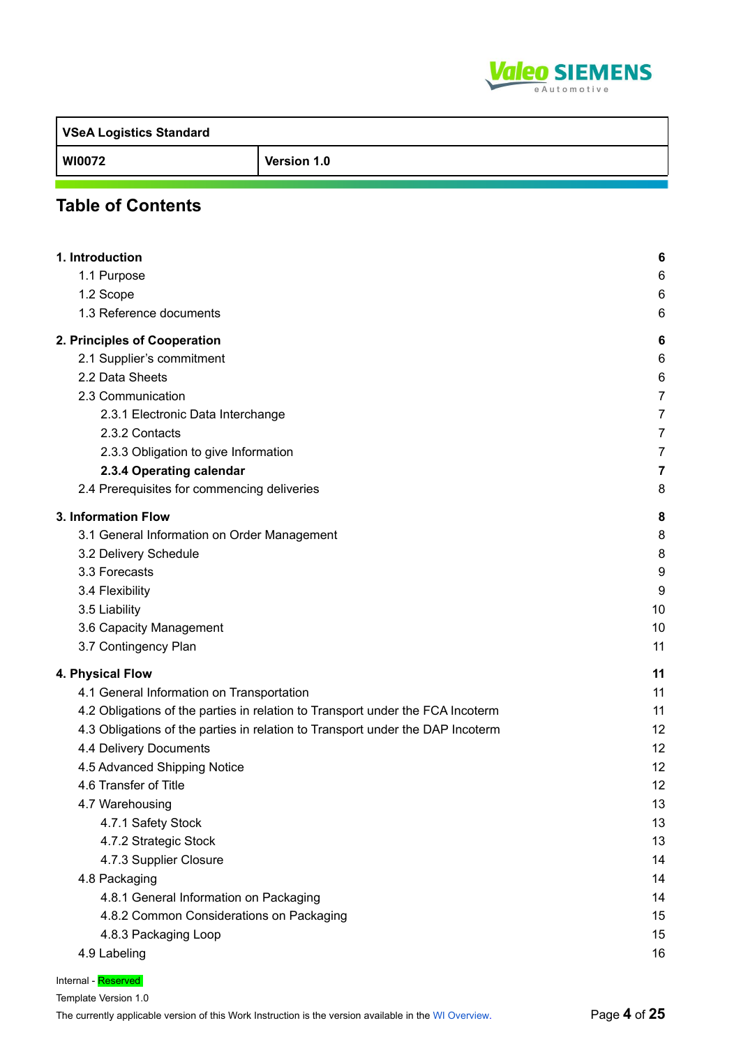

**VSeA Logistics Standard WI0072 Version 1.0**

# **Table of Contents**

| 1. Introduction                                                                | 6              |
|--------------------------------------------------------------------------------|----------------|
| 1.1 Purpose                                                                    | 6              |
| 1.2 Scope                                                                      | 6              |
| 1.3 Reference documents                                                        | 6              |
| 2. Principles of Cooperation                                                   | 6              |
| 2.1 Supplier's commitment                                                      | 6              |
| 2.2 Data Sheets                                                                | 6              |
| 2.3 Communication                                                              | $\overline{7}$ |
| 2.3.1 Electronic Data Interchange                                              | 7              |
| 2.3.2 Contacts                                                                 | 7              |
| 2.3.3 Obligation to give Information                                           | 7              |
| 2.3.4 Operating calendar                                                       | 7              |
| 2.4 Prerequisites for commencing deliveries                                    | 8              |
| 3. Information Flow                                                            | 8              |
| 3.1 General Information on Order Management                                    | 8              |
| 3.2 Delivery Schedule                                                          | 8              |
| 3.3 Forecasts                                                                  | 9              |
| 3.4 Flexibility                                                                | 9              |
| 3.5 Liability                                                                  | 10             |
| 3.6 Capacity Management                                                        | 10             |
| 3.7 Contingency Plan                                                           | 11             |
| 4. Physical Flow                                                               | 11             |
| 4.1 General Information on Transportation                                      | 11             |
| 4.2 Obligations of the parties in relation to Transport under the FCA Incoterm | 11             |
| 4.3 Obligations of the parties in relation to Transport under the DAP Incoterm | 12             |
| 4.4 Delivery Documents                                                         | 12             |
| 4.5 Advanced Shipping Notice                                                   | 12             |
| 4.6 Transfer of Title                                                          | 12             |
| 4.7 Warehousing                                                                | 13             |
| 4.7.1 Safety Stock                                                             | 13             |
| 4.7.2 Strategic Stock                                                          | 13             |
| 4.7.3 Supplier Closure                                                         | 14             |
| 4.8 Packaging                                                                  | 14             |
| 4.8.1 General Information on Packaging                                         | 14             |
| 4.8.2 Common Considerations on Packaging                                       | 15             |
| 4.8.3 Packaging Loop                                                           | 15             |
| 4.9 Labeling                                                                   | 16             |
|                                                                                |                |

Internal - Reserved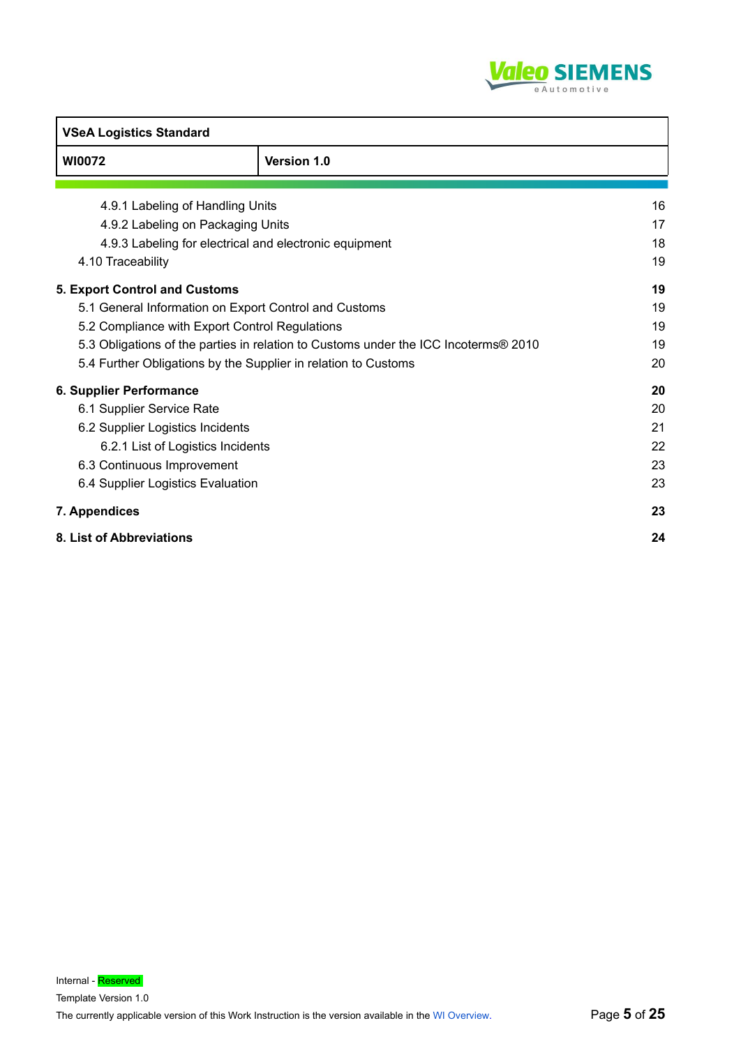

| <b>VSeA Logistics Standard</b>                                                      |                    |    |
|-------------------------------------------------------------------------------------|--------------------|----|
| WI0072                                                                              | <b>Version 1.0</b> |    |
|                                                                                     |                    |    |
| 4.9.1 Labeling of Handling Units                                                    |                    | 16 |
| 4.9.2 Labeling on Packaging Units                                                   |                    | 17 |
| 4.9.3 Labeling for electrical and electronic equipment                              |                    | 18 |
| 4.10 Traceability                                                                   |                    | 19 |
| <b>5. Export Control and Customs</b>                                                |                    | 19 |
| 5.1 General Information on Export Control and Customs                               |                    | 19 |
| 5.2 Compliance with Export Control Regulations                                      |                    | 19 |
| 5.3 Obligations of the parties in relation to Customs under the ICC Incoterms® 2010 |                    | 19 |
| 5.4 Further Obligations by the Supplier in relation to Customs                      |                    | 20 |
| 6. Supplier Performance                                                             |                    | 20 |
| 6.1 Supplier Service Rate                                                           |                    | 20 |
| 6.2 Supplier Logistics Incidents                                                    |                    | 21 |
| 6.2.1 List of Logistics Incidents                                                   |                    | 22 |
| 6.3 Continuous Improvement                                                          |                    | 23 |
| 6.4 Supplier Logistics Evaluation                                                   |                    | 23 |
| 7. Appendices                                                                       |                    | 23 |
| 8. List of Abbreviations                                                            |                    | 24 |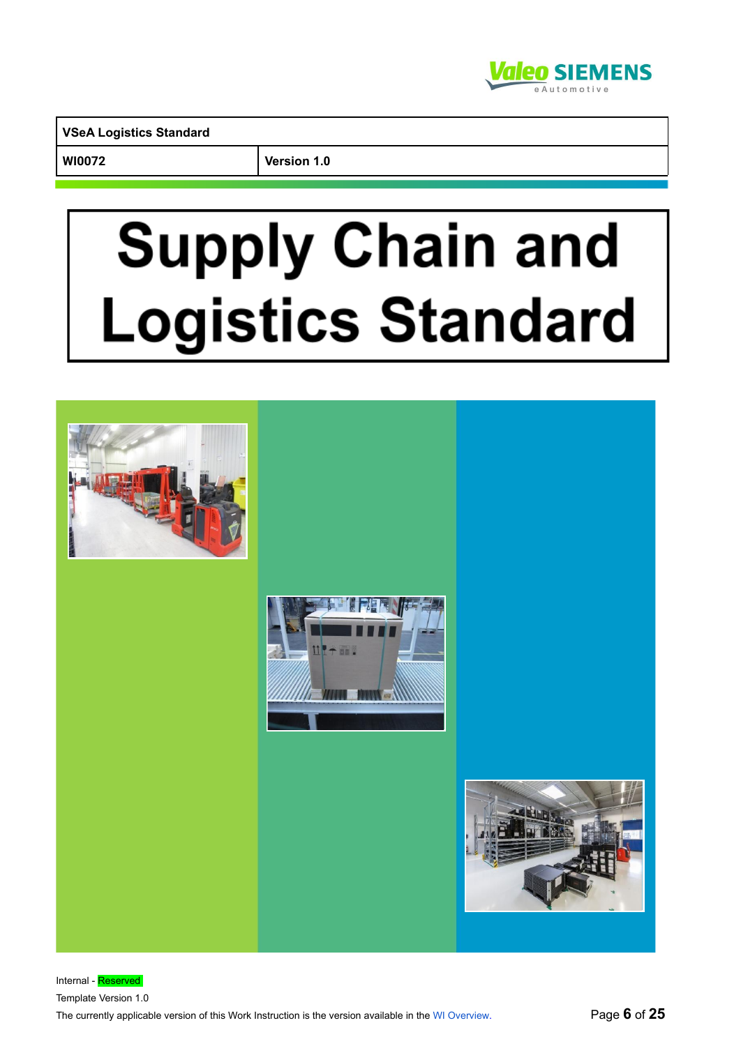

**WI0072 Version 1.0**

# **Supply Chain and** Logistics Standard

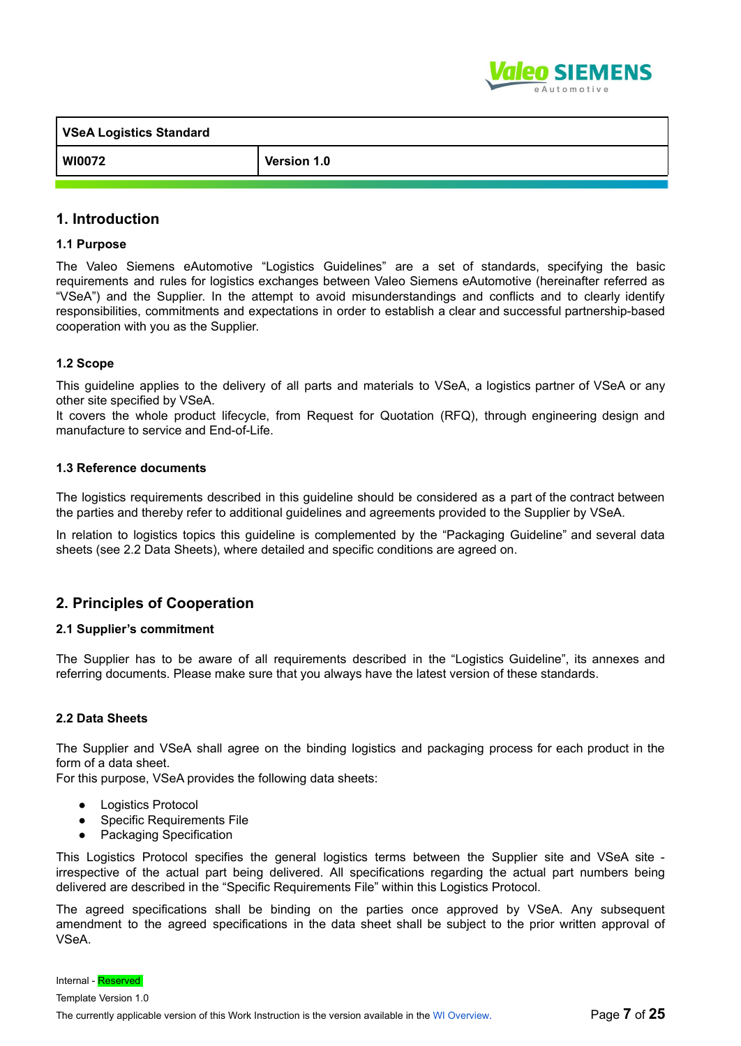

| VSeA Logistics Standard |             |
|-------------------------|-------------|
| WI0072                  | Version 1.0 |

# **1. Introduction**

#### **1.1 Purpose**

The Valeo Siemens eAutomotive "Logistics Guidelines" are a set of standards, specifying the basic requirements and rules for logistics exchanges between Valeo Siemens eAutomotive (hereinafter referred as "VSeA") and the Supplier. In the attempt to avoid misunderstandings and conflicts and to clearly identify responsibilities, commitments and expectations in order to establish a clear and successful partnership-based cooperation with you as the Supplier.

#### **1.2 Scope**

This guideline applies to the delivery of all parts and materials to VSeA, a logistics partner of VSeA or any other site specified by VSeA.

It covers the whole product lifecycle, from Request for Quotation (RFQ), through engineering design and manufacture to service and End-of-Life.

#### **1.3 Reference documents**

The logistics requirements described in this guideline should be considered as a part of the contract between the parties and thereby refer to additional guidelines and agreements provided to the Supplier by VSeA.

In relation to logistics topics this guideline is complemented by the "Packaging Guideline" and several data sheets (see 2.2 Data Sheets), where detailed and specific conditions are agreed on.

# **2. Principles of Cooperation**

#### **2.1 Supplier's commitment**

The Supplier has to be aware of all requirements described in the "Logistics Guideline", its annexes and referring documents. Please make sure that you always have the latest version of these standards.

#### **2.2 Data Sheets**

The Supplier and VSeA shall agree on the binding logistics and packaging process for each product in the form of a data sheet.

For this purpose, VSeA provides the following data sheets:

- Logistics Protocol
- **Specific Requirements File**
- Packaging Specification

This Logistics Protocol specifies the general logistics terms between the Supplier site and VSeA site irrespective of the actual part being delivered. All specifications regarding the actual part numbers being delivered are described in the "Specific Requirements File" within this Logistics Protocol.

The agreed specifications shall be binding on the parties once approved by VSeA. Any subsequent amendment to the agreed specifications in the data sheet shall be subject to the prior written approval of VSeA.

Internal - Reserved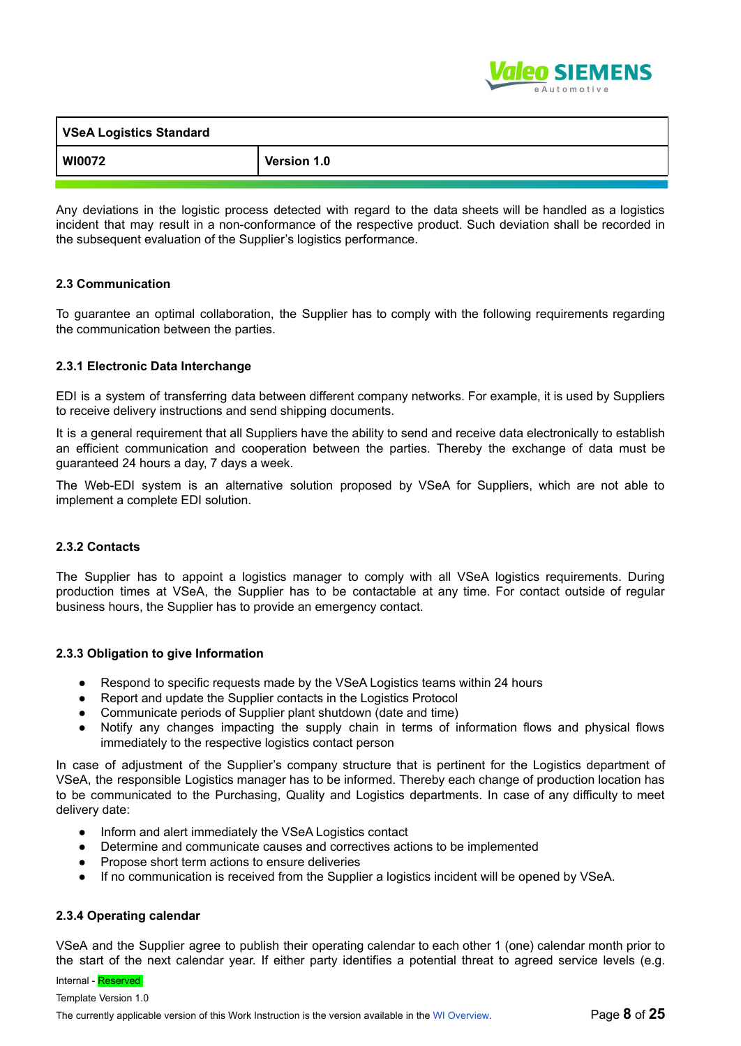

| <b>VSeA Logistics Standard</b> |             |
|--------------------------------|-------------|
| WI0072                         | Version 1.0 |

Any deviations in the logistic process detected with regard to the data sheets will be handled as a logistics incident that may result in a non-conformance of the respective product. Such deviation shall be recorded in the subsequent evaluation of the Supplier's logistics performance.

#### **2.3 Communication**

To guarantee an optimal collaboration, the Supplier has to comply with the following requirements regarding the communication between the parties.

#### **2.3.1 Electronic Data Interchange**

EDI is a system of transferring data between different company networks. For example, it is used by Suppliers to receive delivery instructions and send shipping documents.

It is a general requirement that all Suppliers have the ability to send and receive data electronically to establish an efficient communication and cooperation between the parties. Thereby the exchange of data must be guaranteed 24 hours a day, 7 days a week.

The Web-EDI system is an alternative solution proposed by VSeA for Suppliers, which are not able to implement a complete EDI solution.

#### **2.3.2 Contacts**

The Supplier has to appoint a logistics manager to comply with all VSeA logistics requirements. During production times at VSeA, the Supplier has to be contactable at any time. For contact outside of regular business hours, the Supplier has to provide an emergency contact.

#### **2.3.3 Obligation to give Information**

- Respond to specific requests made by the VSeA Logistics teams within 24 hours
- Report and update the Supplier contacts in the Logistics Protocol
- Communicate periods of Supplier plant shutdown (date and time)
- Notify any changes impacting the supply chain in terms of information flows and physical flows immediately to the respective logistics contact person

In case of adjustment of the Supplier's company structure that is pertinent for the Logistics department of VSeA, the responsible Logistics manager has to be informed. Thereby each change of production location has to be communicated to the Purchasing, Quality and Logistics departments. In case of any difficulty to meet delivery date:

- Inform and alert immediately the VSeA Logistics contact
- Determine and communicate causes and correctives actions to be implemented
- Propose short term actions to ensure deliveries
- If no communication is received from the Supplier a logistics incident will be opened by VSeA.

#### **2.3.4 Operating calendar**

VSeA and the Supplier agree to publish their operating calendar to each other 1 (one) calendar month prior to the start of the next calendar year. If either party identifies a potential threat to agreed service levels (e.g.

# Internal - Reserved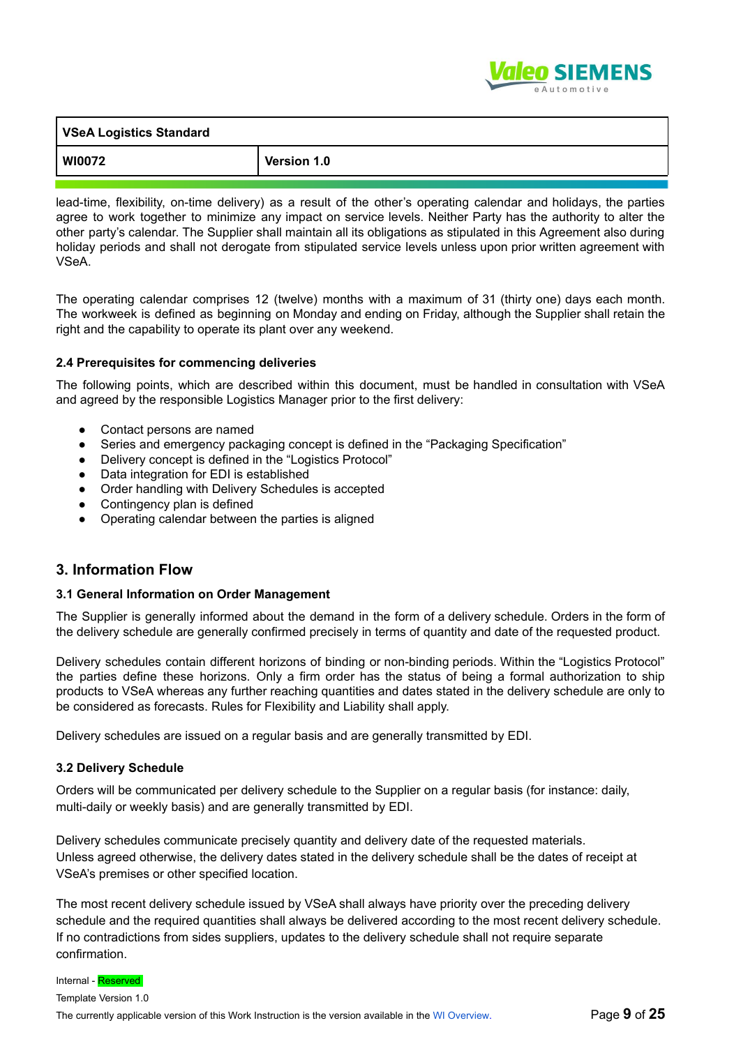

| VSeA Logistics Standard |             |
|-------------------------|-------------|
| WI0072                  | Version 1.0 |

lead-time, flexibility, on-time delivery) as a result of the other's operating calendar and holidays, the parties agree to work together to minimize any impact on service levels. Neither Party has the authority to alter the other party's calendar. The Supplier shall maintain all its obligations as stipulated in this Agreement also during holiday periods and shall not derogate from stipulated service levels unless upon prior written agreement with VSeA.

The operating calendar comprises 12 (twelve) months with a maximum of 31 (thirty one) days each month. The workweek is defined as beginning on Monday and ending on Friday, although the Supplier shall retain the right and the capability to operate its plant over any weekend.

#### **2.4 Prerequisites for commencing deliveries**

The following points, which are described within this document, must be handled in consultation with VSeA and agreed by the responsible Logistics Manager prior to the first delivery:

- Contact persons are named
- Series and emergency packaging concept is defined in the "Packaging Specification"
- Delivery concept is defined in the "Logistics Protocol"
- Data integration for EDI is established
- Order handling with Delivery Schedules is accepted
- Contingency plan is defined
- Operating calendar between the parties is aligned

# **3. Information Flow**

#### **3.1 General Information on Order Management**

The Supplier is generally informed about the demand in the form of a delivery schedule. Orders in the form of the delivery schedule are generally confirmed precisely in terms of quantity and date of the requested product.

Delivery schedules contain different horizons of binding or non-binding periods. Within the "Logistics Protocol" the parties define these horizons. Only a firm order has the status of being a formal authorization to ship products to VSeA whereas any further reaching quantities and dates stated in the delivery schedule are only to be considered as forecasts. Rules for Flexibility and Liability shall apply.

Delivery schedules are issued on a regular basis and are generally transmitted by EDI.

#### **3.2 Delivery Schedule**

Orders will be communicated per delivery schedule to the Supplier on a regular basis (for instance: daily, multi-daily or weekly basis) and are generally transmitted by EDI.

Delivery schedules communicate precisely quantity and delivery date of the requested materials. Unless agreed otherwise, the delivery dates stated in the delivery schedule shall be the dates of receipt at VSeA's premises or other specified location.

The most recent delivery schedule issued by VSeA shall always have priority over the preceding delivery schedule and the required quantities shall always be delivered according to the most recent delivery schedule. If no contradictions from sides suppliers, updates to the delivery schedule shall not require separate confirmation.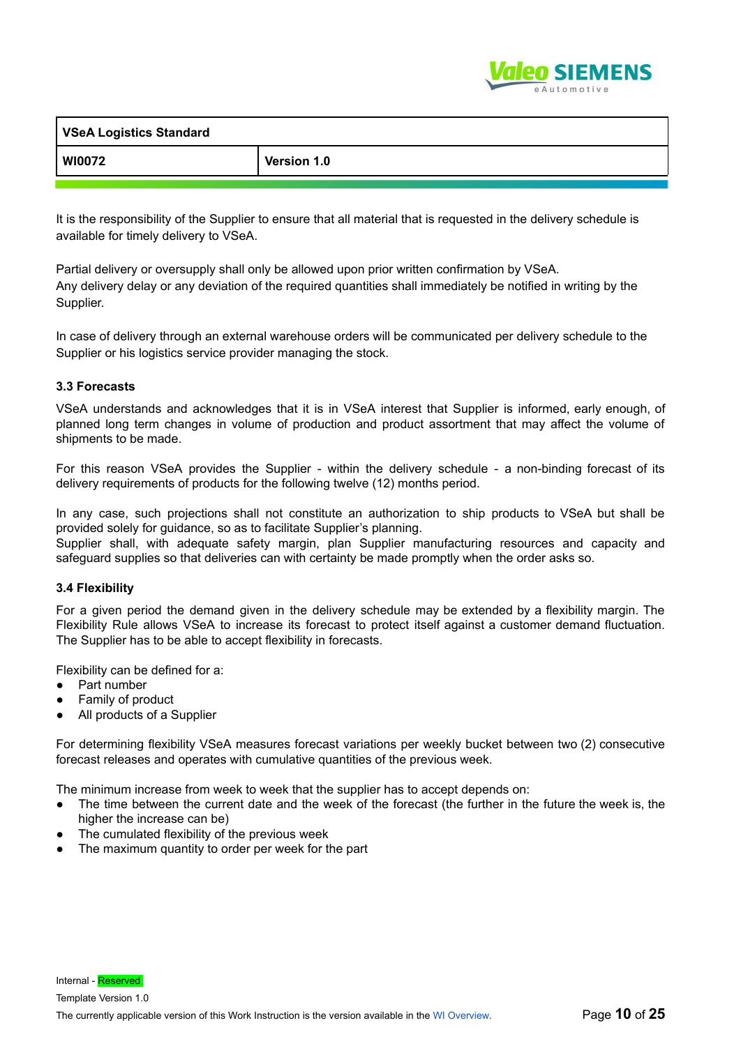

| <b>VSeA Logistics Standard</b> |                    |
|--------------------------------|--------------------|
| <b>WI0072</b>                  | <b>Version 1.0</b> |

It is the responsibility of the Supplier to ensure that all material that is requested in the delivery schedule is available for timely delivery to VSeA.

Partial delivery or oversupply shall only be allowed upon prior written confirmation by VSeA. Any delivery delay or any deviation of the required quantities shall immediately be notified in writing by the Supplier.

In case of delivery through an external warehouse orders will be communicated per delivery schedule to the Supplier or his logistics service provider managing the stock.

#### **3.3 Forecasts**

VSeA understands and acknowledges that it is in VSeA interest that Supplier is informed, early enough, of planned long term changes in volume of production and product assortment that may affect the volume of shipments to be made.

For this reason VSeA provides the Supplier - within the delivery schedule - a non-binding forecast of its delivery requirements of products for the following twelve (12) months period.

In any case, such projections shall not constitute an authorization to ship products to VSeA but shall be provided solely for guidance, so as to facilitate Supplier's planning.

Supplier shall, with adequate safety margin, plan Supplier manufacturing resources and capacity and safeguard supplies so that deliveries can with certainty be made promptly when the order asks so.

#### **3.4 Flexibility**

For a given period the demand given in the delivery schedule may be extended by a flexibility margin. The Flexibility Rule allows VSeA to increase its forecast to protect itself against a customer demand fluctuation. The Supplier has to be able to accept flexibility in forecasts.

Flexibility can be defined for a:

- Part number
- Family of product
- All products of a Supplier

For determining flexibility VSeA measures forecast variations per weekly bucket between two (2) consecutive forecast releases and operates with cumulative quantities of the previous week.

The minimum increase from week to week that the supplier has to accept depends on:

- The time between the current date and the week of the forecast (the further in the future the week is, the higher the increase can be)
- The cumulated flexibility of the previous week
- The maximum quantity to order per week for the part

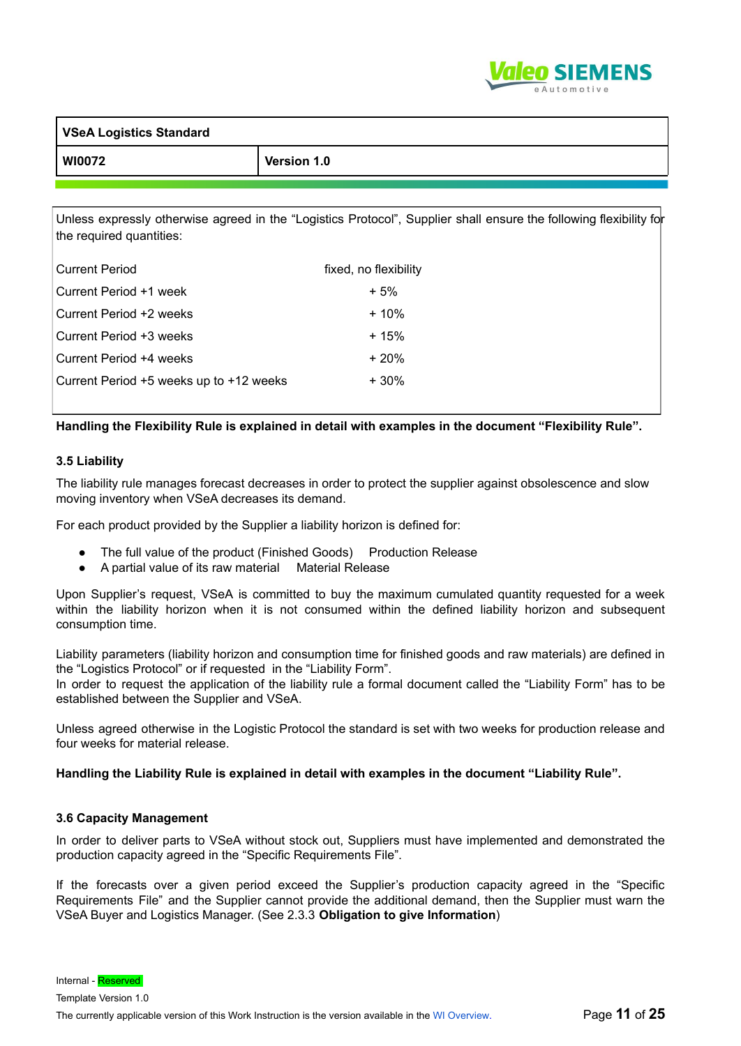

| <b>VSeA Logistics Standard</b> |             |
|--------------------------------|-------------|
| <b>WI0072</b>                  | Version 1.0 |

Unless expressly otherwise agreed in the "Logistics Protocol", Supplier shall ensure the following flexibility for the required quantities:

| <b>Current Period</b>                   | fixed, no flexibility |
|-----------------------------------------|-----------------------|
| Current Period +1 week                  | $+5%$                 |
| Current Period +2 weeks                 | $+10%$                |
| Current Period +3 weeks                 | $+15%$                |
| Current Period +4 weeks                 | $+20%$                |
| Current Period +5 weeks up to +12 weeks | $+30%$                |

#### **Handling the Flexibility Rule is explained in detail with examples in the document "Flexibility Rule".**

#### **3.5 Liability**

The liability rule manages forecast decreases in order to protect the supplier against obsolescence and slow moving inventory when VSeA decreases its demand.

For each product provided by the Supplier a liability horizon is defined for:

- The full value of the product (Finished Goods) Production Release
- A partial value of its raw material Material Release

Upon Supplier's request, VSeA is committed to buy the maximum cumulated quantity requested for a week within the liability horizon when it is not consumed within the defined liability horizon and subsequent consumption time.

Liability parameters (liability horizon and consumption time for finished goods and raw materials) are defined in the "Logistics Protocol" or if requested in the "Liability Form".

In order to request the application of the liability rule a formal document called the "Liability Form" has to be established between the Supplier and VSeA.

Unless agreed otherwise in the Logistic Protocol the standard is set with two weeks for production release and four weeks for material release.

#### **Handling the Liability Rule is explained in detail with examples in the document "Liability Rule".**

#### **3.6 Capacity Management**

In order to deliver parts to VSeA without stock out, Suppliers must have implemented and demonstrated the production capacity agreed in the "Specific Requirements File".

If the forecasts over a given period exceed the Supplier's production capacity agreed in the "Specific Requirements File" and the Supplier cannot provide the additional demand, then the Supplier must warn the VSeA Buyer and Logistics Manager. (See 2.3.3 **Obligation to give Information**)

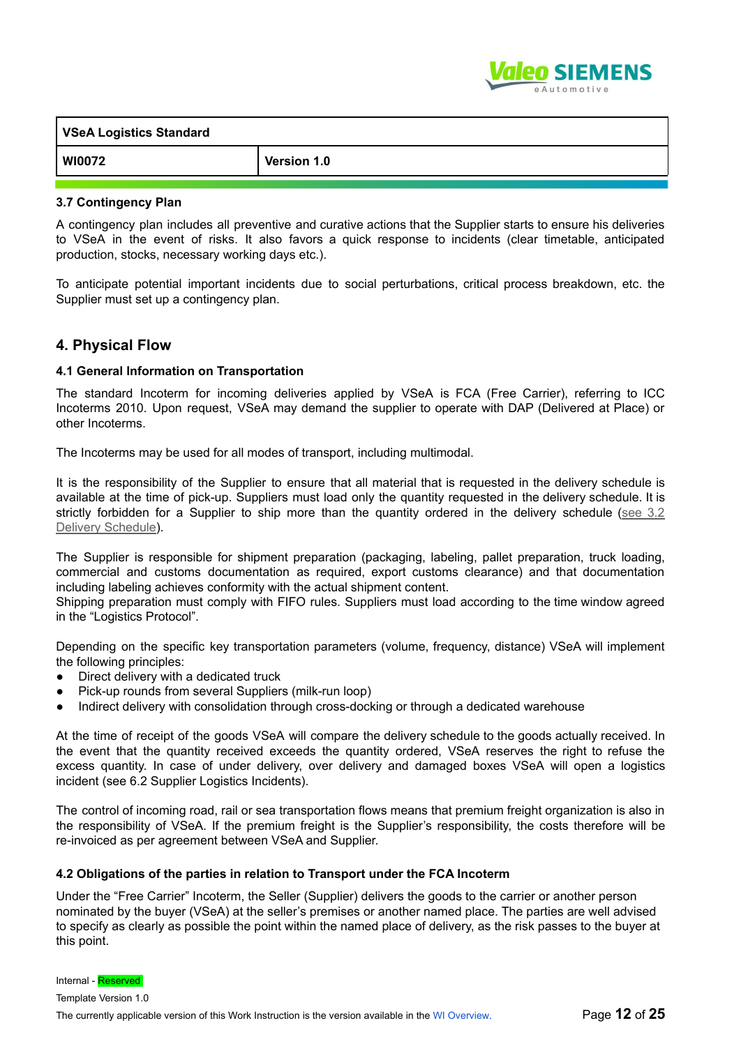

| <b>VSeA Logistics Standard</b> |             |
|--------------------------------|-------------|
| <b>WI0072</b>                  | Version 1.0 |

#### **3.7 Contingency Plan**

A contingency plan includes all preventive and curative actions that the Supplier starts to ensure his deliveries to VSeA in the event of risks. It also favors a quick response to incidents (clear timetable, anticipated production, stocks, necessary working days etc.).

To anticipate potential important incidents due to social perturbations, critical process breakdown, etc. the Supplier must set up a contingency plan.

## **4. Physical Flow**

#### **4.1 General Information on Transportation**

The standard Incoterm for incoming deliveries applied by VSeA is FCA (Free Carrier), referring to ICC Incoterms 2010. Upon request, VSeA may demand the supplier to operate with DAP (Delivered at Place) or other Incoterms.

The Incoterms may be used for all modes of transport, including multimodal.

It is the responsibility of the Supplier to ensure that all material that is requested in the delivery schedule is available at the time of pick-up. Suppliers must load only the quantity requested in the delivery schedule. It is strictly forbidden for a Supplier to ship more than the quantity ordered in the delivery schedule (see 3.2 Delivery Schedule).

The Supplier is responsible for shipment preparation (packaging, labeling, pallet preparation, truck loading, commercial and customs documentation as required, export customs clearance) and that documentation including labeling achieves conformity with the actual shipment content.

Shipping preparation must comply with FIFO rules. Suppliers must load according to the time window agreed in the "Logistics Protocol".

Depending on the specific key transportation parameters (volume, frequency, distance) VSeA will implement the following principles:

- Direct delivery with a dedicated truck
- Pick-up rounds from several Suppliers (milk-run loop)
- Indirect delivery with consolidation through cross-docking or through a dedicated warehouse

At the time of receipt of the goods VSeA will compare the delivery schedule to the goods actually received. In the event that the quantity received exceeds the quantity ordered, VSeA reserves the right to refuse the excess quantity. In case of under delivery, over delivery and damaged boxes VSeA will open a logistics incident (see 6.2 Supplier Logistics Incidents).

The control of incoming road, rail or sea transportation flows means that premium freight organization is also in the responsibility of VSeA. If the premium freight is the Supplier's responsibility, the costs therefore will be re-invoiced as per agreement between VSeA and Supplier.

#### **4.2 Obligations of the parties in relation to Transport under the FCA Incoterm**

Under the "Free Carrier" Incoterm, the Seller (Supplier) delivers the goods to the carrier or another person nominated by the buyer (VSeA) at the seller's premises or another named place. The parties are well advised to specify as clearly as possible the point within the named place of delivery, as the risk passes to the buyer at this point.

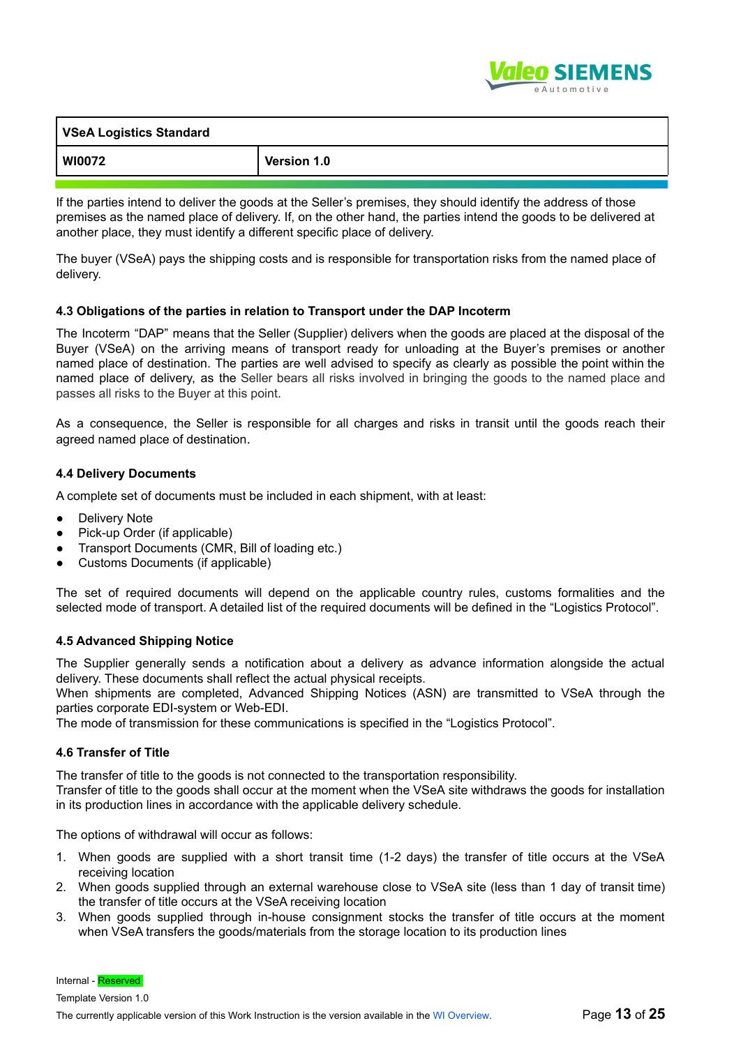

| <b>VSeA Logistics Standard</b> |             |
|--------------------------------|-------------|
| <b>WI0072</b>                  | Version 1.0 |

If the parties intend to deliver the goods at the Seller's premises, they should identify the address of those premises as the named place of delivery. If, on the other hand, the parties intend the goods to be delivered at another place, they must identify a different specific place of delivery.

The buyer (VSeA) pays the shipping costs and is responsible for transportation risks from the named place of delivery.

#### **4.3 Obligations of the parties in relation to Transport under the DAP Incoterm**

The Incoterm "DAP" means that the Seller (Supplier) delivers when the goods are placed at the disposal of the Buyer (VSeA) on the arriving means of transport ready for unloading at the Buyer's premises or another named place of destination. The parties are well advised to specify as clearly as possible the point within the named place of delivery, as the Seller bears all risks involved in bringing the goods to the named place and passes all risks to the Buyer at this point.

As a consequence, the Seller is responsible for all charges and risks in transit until the goods reach their agreed named place of destination.

#### **4.4 Delivery Documents**

A complete set of documents must be included in each shipment, with at least:

- **Delivery Note**
- Pick-up Order (if applicable)
- Transport Documents (CMR, Bill of loading etc.)
- Customs Documents (if applicable)

The set of required documents will depend on the applicable country rules, customs formalities and the selected mode of transport. A detailed list of the required documents will be defined in the "Logistics Protocol".

#### **4.5 Advanced Shipping Notice**

The Supplier generally sends a notification about a delivery as advance information alongside the actual delivery. These documents shall reflect the actual physical receipts.

When shipments are completed, Advanced Shipping Notices (ASN) are transmitted to VSeA through the parties corporate EDI-system or Web-EDI.

The mode of transmission for these communications is specified in the "Logistics Protocol".

#### **4.6 Transfer of Title**

The transfer of title to the goods is not connected to the transportation responsibility.

Transfer of title to the goods shall occur at the moment when the VSeA site withdraws the goods for installation in its production lines in accordance with the applicable delivery schedule.

The options of withdrawal will occur as follows:

- 1. When goods are supplied with a short transit time (1-2 days) the transfer of title occurs at the VSeA receiving location
- 2. When goods supplied through an external warehouse close to VSeA site (less than 1 day of transit time) the transfer of title occurs at the VSeA receiving location
- 3. When goods supplied through in-house consignment stocks the transfer of title occurs at the moment when VSeA transfers the goods/materials from the storage location to its production lines

Internal - Reserved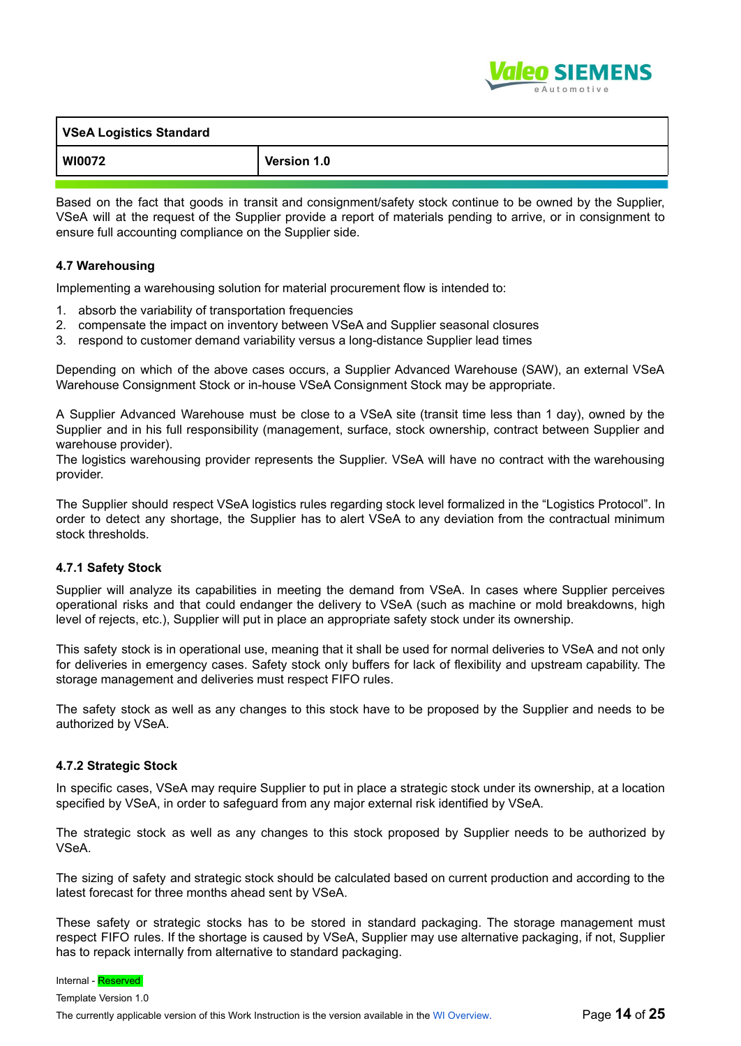

| VSeA Logistics Standard |             |
|-------------------------|-------------|
| WI0072                  | Version 1.0 |
|                         |             |

Based on the fact that goods in transit and consignment/safety stock continue to be owned by the Supplier, VSeA will at the request of the Supplier provide a report of materials pending to arrive, or in consignment to ensure full accounting compliance on the Supplier side.

#### **4.7 Warehousing**

Implementing a warehousing solution for material procurement flow is intended to:

- 1. absorb the variability of transportation frequencies
- 2. compensate the impact on inventory between VSeA and Supplier seasonal closures
- 3. respond to customer demand variability versus a long-distance Supplier lead times

Depending on which of the above cases occurs, a Supplier Advanced Warehouse (SAW), an external VSeA Warehouse Consignment Stock or in-house VSeA Consignment Stock may be appropriate.

A Supplier Advanced Warehouse must be close to a VSeA site (transit time less than 1 day), owned by the Supplier and in his full responsibility (management, surface, stock ownership, contract between Supplier and warehouse provider).

The logistics warehousing provider represents the Supplier. VSeA will have no contract with the warehousing provider.

The Supplier should respect VSeA logistics rules regarding stock level formalized in the "Logistics Protocol". In order to detect any shortage, the Supplier has to alert VSeA to any deviation from the contractual minimum stock thresholds.

#### **4.7.1 Safety Stock**

Supplier will analyze its capabilities in meeting the demand from VSeA. In cases where Supplier perceives operational risks and that could endanger the delivery to VSeA (such as machine or mold breakdowns, high level of rejects, etc.), Supplier will put in place an appropriate safety stock under its ownership.

This safety stock is in operational use, meaning that it shall be used for normal deliveries to VSeA and not only for deliveries in emergency cases. Safety stock only buffers for lack of flexibility and upstream capability. The storage management and deliveries must respect FIFO rules.

The safety stock as well as any changes to this stock have to be proposed by the Supplier and needs to be authorized by VSeA.

#### **4.7.2 Strategic Stock**

In specific cases, VSeA may require Supplier to put in place a strategic stock under its ownership, at a location specified by VSeA, in order to safeguard from any major external risk identified by VSeA.

The strategic stock as well as any changes to this stock proposed by Supplier needs to be authorized by VSeA.

The sizing of safety and strategic stock should be calculated based on current production and according to the latest forecast for three months ahead sent by VSeA.

These safety or strategic stocks has to be stored in standard packaging. The storage management must respect FIFO rules. If the shortage is caused by VSeA, Supplier may use alternative packaging, if not, Supplier has to repack internally from alternative to standard packaging.

Internal - Reserved

Template Version 1.0 The currently applicable version of this Work Instruction is the version available in the WI Overview. Page **14** of **25**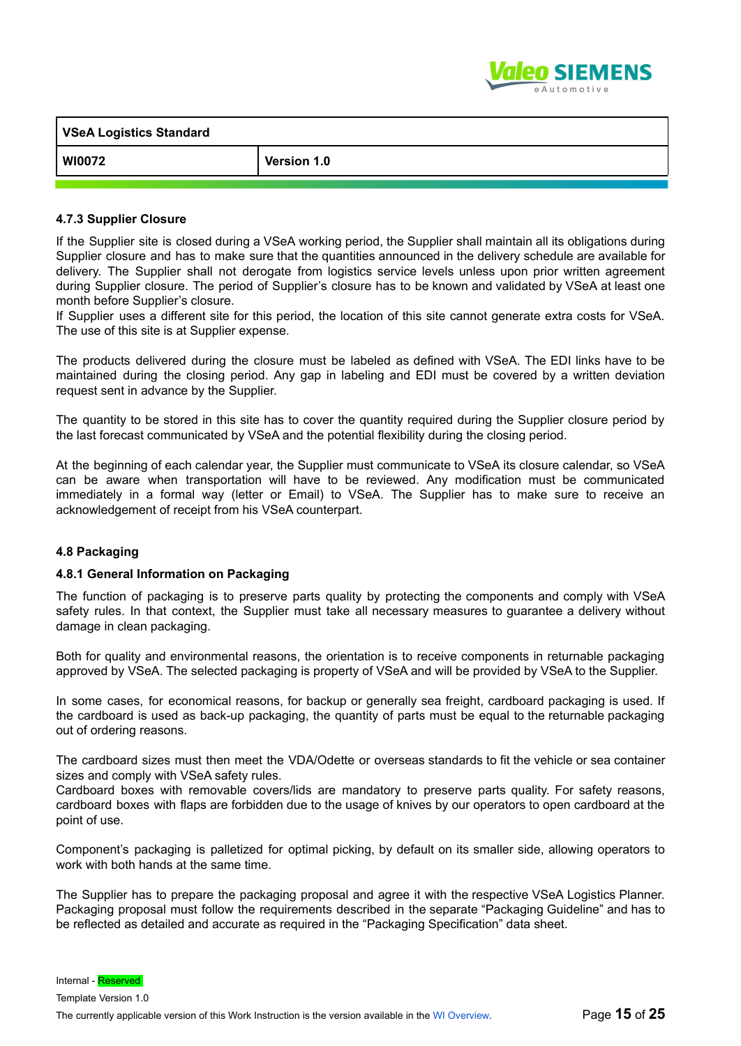

| <b>VSeA Logistics Standard</b> |             |
|--------------------------------|-------------|
| WI0072                         | Version 1.0 |

#### **4.7.3 Supplier Closure**

If the Supplier site is closed during a VSeA working period, the Supplier shall maintain all its obligations during Supplier closure and has to make sure that the quantities announced in the delivery schedule are available for delivery. The Supplier shall not derogate from logistics service levels unless upon prior written agreement during Supplier closure. The period of Supplier's closure has to be known and validated by VSeA at least one month before Supplier's closure.

If Supplier uses a different site for this period, the location of this site cannot generate extra costs for VSeA. The use of this site is at Supplier expense.

The products delivered during the closure must be labeled as defined with VSeA. The EDI links have to be maintained during the closing period. Any gap in labeling and EDI must be covered by a written deviation request sent in advance by the Supplier.

The quantity to be stored in this site has to cover the quantity required during the Supplier closure period by the last forecast communicated by VSeA and the potential flexibility during the closing period.

At the beginning of each calendar year, the Supplier must communicate to VSeA its closure calendar, so VSeA can be aware when transportation will have to be reviewed. Any modification must be communicated immediately in a formal way (letter or Email) to VSeA. The Supplier has to make sure to receive an acknowledgement of receipt from his VSeA counterpart.

#### **4.8 Packaging**

#### **4.8.1 General Information on Packaging**

The function of packaging is to preserve parts quality by protecting the components and comply with VSeA safety rules. In that context, the Supplier must take all necessary measures to guarantee a delivery without damage in clean packaging.

Both for quality and environmental reasons, the orientation is to receive components in returnable packaging approved by VSeA. The selected packaging is property of VSeA and will be provided by VSeA to the Supplier.

In some cases, for economical reasons, for backup or generally sea freight, cardboard packaging is used. If the cardboard is used as back-up packaging, the quantity of parts must be equal to the returnable packaging out of ordering reasons.

The cardboard sizes must then meet the VDA/Odette or overseas standards to fit the vehicle or sea container sizes and comply with VSeA safety rules.

Cardboard boxes with removable covers/lids are mandatory to preserve parts quality. For safety reasons, cardboard boxes with flaps are forbidden due to the usage of knives by our operators to open cardboard at the point of use.

Component's packaging is palletized for optimal picking, by default on its smaller side, allowing operators to work with both hands at the same time.

The Supplier has to prepare the packaging proposal and agree it with the respective VSeA Logistics Planner. Packaging proposal must follow the requirements described in the separate "Packaging Guideline" and has to be reflected as detailed and accurate as required in the "Packaging Specification" data sheet.

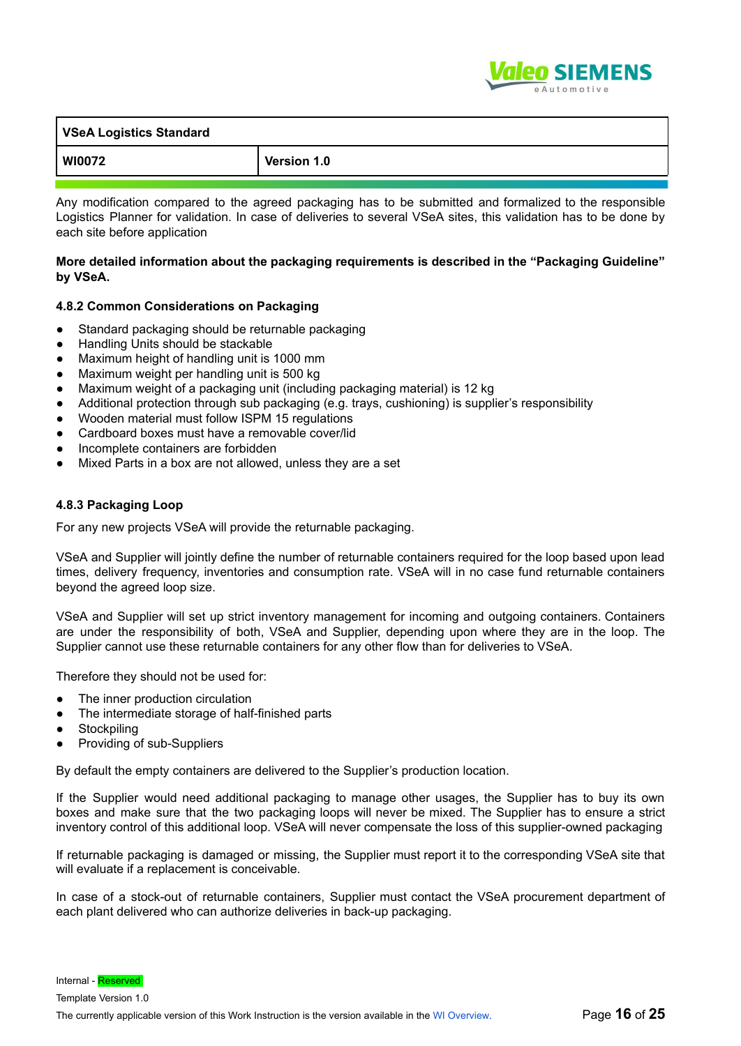

| VSeA Logistics Standard |             |  |
|-------------------------|-------------|--|
| <b>WI0072</b>           | Version 1.0 |  |

Any modification compared to the agreed packaging has to be submitted and formalized to the responsible Logistics Planner for validation. In case of deliveries to several VSeA sites, this validation has to be done by each site before application

#### **More detailed information about the packaging requirements is described in the "Packaging Guideline" by VSeA.**

#### **4.8.2 Common Considerations on Packaging**

- Standard packaging should be returnable packaging
- Handling Units should be stackable
- Maximum height of handling unit is 1000 mm
- Maximum weight per handling unit is 500 kg
- Maximum weight of a packaging unit (including packaging material) is 12 kg
- Additional protection through sub packaging (e.g. trays, cushioning) is supplier's responsibility
- Wooden material must follow ISPM 15 regulations
- Cardboard boxes must have a removable cover/lid
- Incomplete containers are forbidden
- Mixed Parts in a box are not allowed, unless they are a set

#### **4.8.3 Packaging Loop**

For any new projects VSeA will provide the returnable packaging.

VSeA and Supplier will jointly define the number of returnable containers required for the loop based upon lead times, delivery frequency, inventories and consumption rate. VSeA will in no case fund returnable containers beyond the agreed loop size.

VSeA and Supplier will set up strict inventory management for incoming and outgoing containers. Containers are under the responsibility of both, VSeA and Supplier, depending upon where they are in the loop. The Supplier cannot use these returnable containers for any other flow than for deliveries to VSeA.

Therefore they should not be used for:

- The inner production circulation
- The intermediate storage of half-finished parts
- Stockpiling
- Providing of sub-Suppliers

By default the empty containers are delivered to the Supplier's production location.

If the Supplier would need additional packaging to manage other usages, the Supplier has to buy its own boxes and make sure that the two packaging loops will never be mixed. The Supplier has to ensure a strict inventory control of this additional loop. VSeA will never compensate the loss of this supplier-owned packaging

If returnable packaging is damaged or missing, the Supplier must report it to the corresponding VSeA site that will evaluate if a replacement is conceivable.

In case of a stock-out of returnable containers, Supplier must contact the VSeA procurement department of each plant delivered who can authorize deliveries in back-up packaging.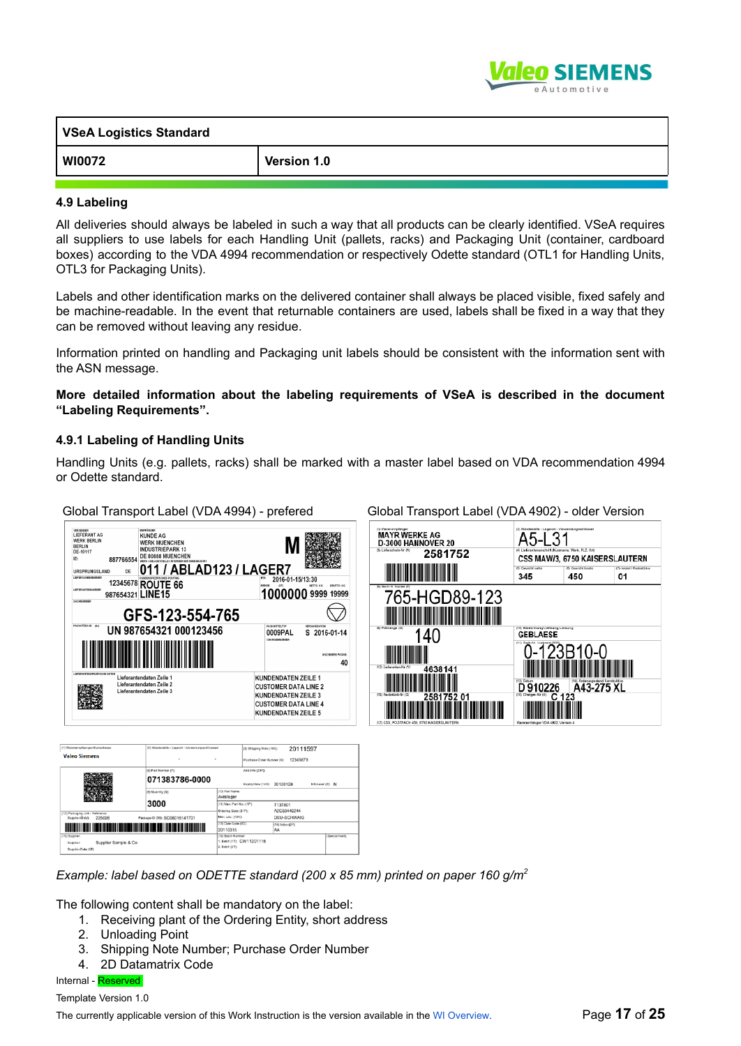

| <b>VSeA Logistics Standard</b> |             |  |
|--------------------------------|-------------|--|
| WI0072                         | Version 1.0 |  |

#### **4.9 Labeling**

All deliveries should always be labeled in such a way that all products can be clearly identified. VSeA requires all suppliers to use labels for each Handling Unit (pallets, racks) and Packaging Unit (container, cardboard boxes) according to the VDA 4994 recommendation or respectively Odette standard (OTL1 for Handling Units, OTL3 for Packaging Units).

Labels and other identification marks on the delivered container shall always be placed visible, fixed safely and be machine-readable. In the event that returnable containers are used, labels shall be fixed in a way that they can be removed without leaving any residue.

Information printed on handling and Packaging unit labels should be consistent with the information sent with the ASN message.

#### **More detailed information about the labeling requirements of VSeA is described in the document "Labeling Requirements".**

#### **4.9.1 Labeling of Handling Units**

Handling Units (e.g. pallets, racks) shall be marked with a master label based on VDA recommendation 4994 or Odette standard.

Global Transport Label (VDA 4994) - prefered Global Transport Label (VDA 4902) - older Version



| [1] Warenempfaen ger-Kurzadresse                              | (2) Abladestelle - Lagerort - Verwenungsschluessel |                                                   | (3) Shipping Note   f4R):  | 20111597                            |                 |
|---------------------------------------------------------------|----------------------------------------------------|---------------------------------------------------|----------------------------|-------------------------------------|-----------------|
| <b>Valeo Siemens</b>                                          | ٠                                                  | ٠                                                 | Purchase Order Number (K): | 12345678                            |                 |
|                                                               | (6) Part Number (P):                               |                                                   | Add Jr/o (20P):            |                                     |                 |
|                                                               | 071383786-0000                                     |                                                   | Expiry Date (14D):         | 20120128                            | MS-Level (Z): N |
|                                                               | (9) Quantity (Q)                                   | (10) Part Name:<br>Axiallager                     |                            |                                     |                 |
|                                                               | 3000                                               | (11) Man. Part No.; (1P).<br>Crdering Code (31P): |                            | T137801<br>A2C53440244              |                 |
| [12] Packaging Unit - Reference:<br>225026<br>Suppler-ID (V): | Package-ID (35): SC 08016141701                    | Man. Loc.: (10V):                                 |                            | <b>DEU-SCHWAIG</b>                  |                 |
|                                                               |                                                    | [13] Date Code (6D):<br>20110315                  |                            | $(14)$ Index $\mathcal{CP}$ :<br>AA |                 |
|                                                               |                                                    | (16) Batch Number:                                |                            |                                     | [Special mark)  |

#### *Example: label based on ODETTE standard (200 x 85 mm) printed on paper 160 g/m<sup>2</sup>*

The following content shall be mandatory on the label:

- 1. Receiving plant of the Ordering Entity, short address
- 2. Unloading Point
- 3. Shipping Note Number; Purchase Order Number
- 4. 2D Datamatrix Code

Internal - Reserved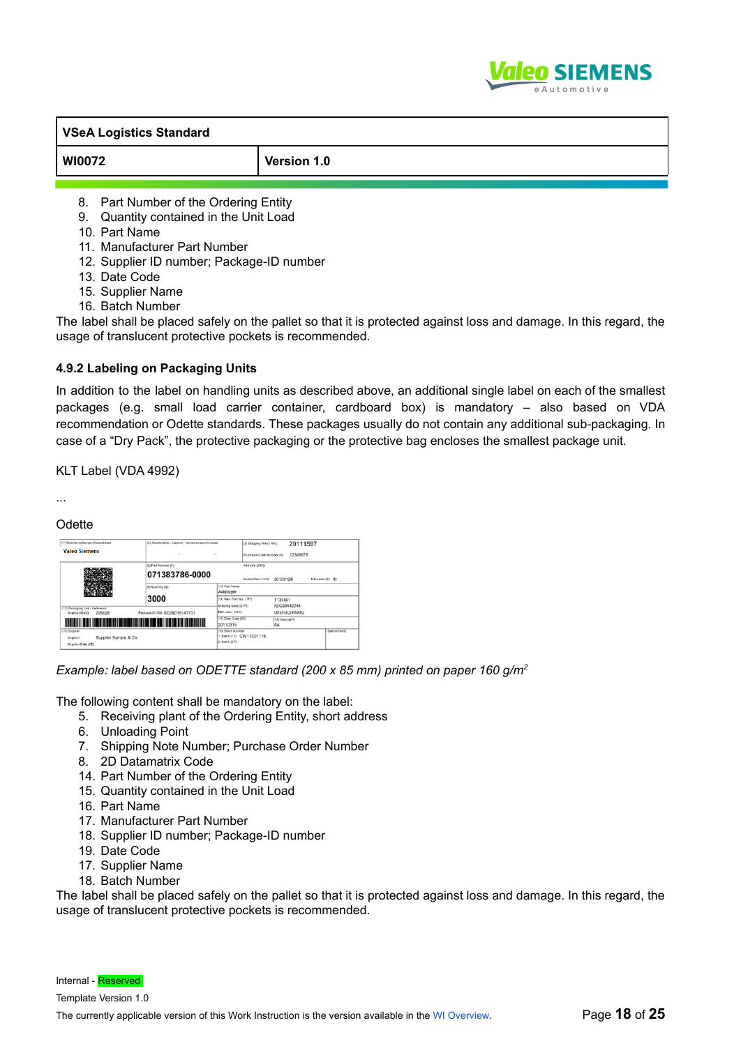

| <b>WI0072</b>                            | Version 1.0 |
|------------------------------------------|-------------|
|                                          |             |
| Part Number of the Ordering Entity<br>8. |             |

- 9. Quantity contained in the Unit Load
- 10. Part Name
- 11. Manufacturer Part Number
- 12. Supplier ID number; Package-ID number
- 13. Date Code
- 15. Supplier Name
- 16. Batch Number

The label shall be placed safely on the pallet so that it is protected against loss and damage. In this regard, the usage of translucent protective pockets is recommended.

#### **4.9.2 Labeling on Packaging Units**

In addition to the label on handling units as described above, an additional single label on each of the smallest packages (e.g. small load carrier container, cardboard box) is mandatory – also based on VDA recommendation or Odette standards. These packages usually do not contain any additional sub-packaging. In case of a "Dry Pack", the protective packaging or the protective bag encloses the smallest package unit.

KLT Label (VDA 4992)

...

## **Odette**

| [1] Warenempfaen ger-Kurzadresse                                          | (2) Abladestelle - Lagerort - Verwenungsschluessel |                                                  | (3) Shipping Note   f4R):  |                                     | 20111597           |                 |               |
|---------------------------------------------------------------------------|----------------------------------------------------|--------------------------------------------------|----------------------------|-------------------------------------|--------------------|-----------------|---------------|
| <b>Valeo Siemens</b>                                                      | ٠                                                  | ٠                                                | Purchase Order Number (K): |                                     | 12345678           |                 |               |
|                                                                           | (8) Part Number (P):                               |                                                  |                            | Add Jrfo (20P):                     |                    |                 |               |
|                                                                           | 071383786-0000                                     |                                                  | Expiry Date (14D):         | 20120128                            |                    | MS-Level (Z): N |               |
|                                                                           | (9) Quantity (Q)                                   | 10) Part Name:<br>Axiallager                     |                            |                                     |                    |                 |               |
|                                                                           | 3000                                               | [11] Man. Part No.: (1P)<br>Crdering Code (31P): |                            | T137801<br>A2C53440244              |                    |                 |               |
| [12] Packaging Unit - Reference:<br>225026<br>Supplier-ID (V):            | Package-ID (35): SC 08016141701                    | Man. Loc.: (10V):                                |                            |                                     | <b>DEU-SCHWAIG</b> |                 |               |
|                                                                           |                                                    | [13] Date Code (6D):<br>20110315                 |                            | $(14)$ Index $\mathcal{CP}$ :<br>AA |                    |                 |               |
| (15) Supplier:<br>Supplier Sample & Co.<br>Suppler:<br>Suppler-Data (12): |                                                    | 16) Batch Number.<br>2. Batch (21):              | 1. Batch (1T): CW1 1201115 |                                     |                    |                 | Special mark) |

*Example: label based on ODETTE standard (200 x 85 mm) printed on paper 160 g/m<sup>2</sup>*

The following content shall be mandatory on the label:

- 5. Receiving plant of the Ordering Entity, short address
- 6. Unloading Point
- 7. Shipping Note Number; Purchase Order Number
- 8. 2D Datamatrix Code
- 14. Part Number of the Ordering Entity
- 15. Quantity contained in the Unit Load
- 16. Part Name
- 17. Manufacturer Part Number
- 18. Supplier ID number; Package-ID number
- 19. Date Code
- 17. Supplier Name
- 18. Batch Number

The label shall be placed safely on the pallet so that it is protected against loss and damage. In this regard, the usage of translucent protective pockets is recommended.

Internal - Reserved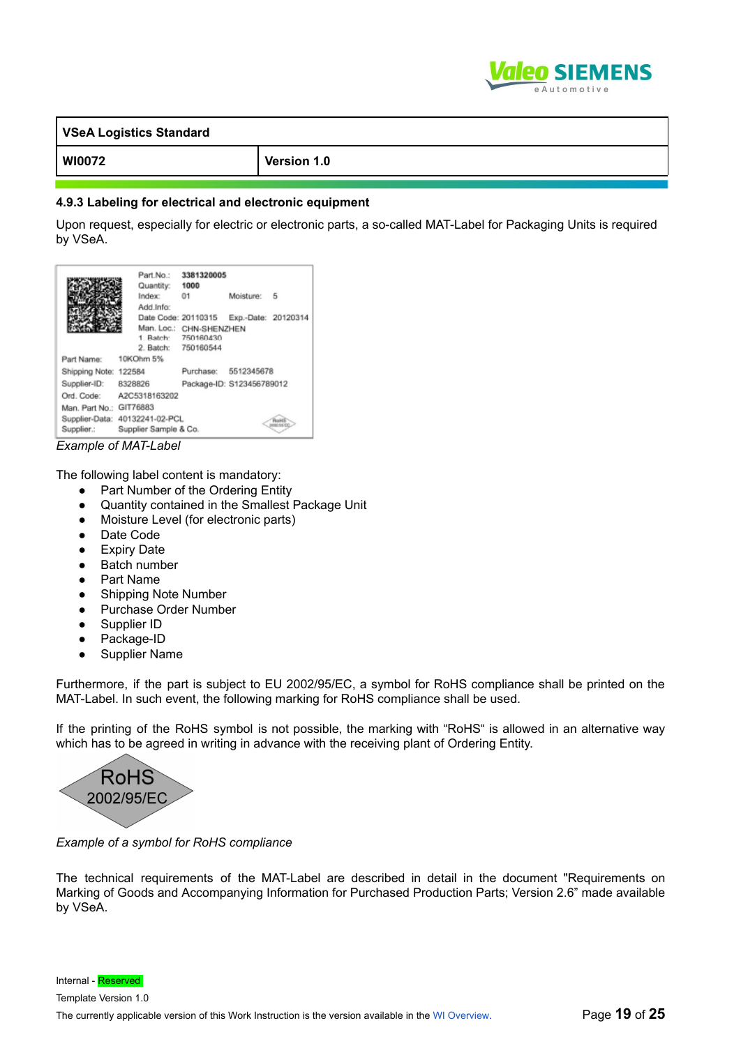

| VSeA Logistics Standard |             |
|-------------------------|-------------|
| WI0072                  | Version 1.0 |

#### **4.9.3 Labeling for electrical and electronic equipment**

Upon request, especially for electric or electronic parts, a so-called MAT-Label for Packaging Units is required by VSeA.

|                         | Part.No.:<br>Quantity: 1000<br>Index: | 3381320005<br>01                                                     | Moisture:           | - 5 |
|-------------------------|---------------------------------------|----------------------------------------------------------------------|---------------------|-----|
|                         | Add.Info:                             | Date Code: 20110315                                                  | Exp.-Date: 20120314 |     |
|                         |                                       | Man. Loc.: CHN-SHENZHEN<br>1 Batch: 750160430<br>2. Batch: 750160544 |                     |     |
| Part Name:              | 10KOhm 5%                             |                                                                      |                     |     |
| Shipping Note: 122584   |                                       | Purchase: 5512345678                                                 |                     |     |
| Supplier-ID:            | 8328826                               | Package-ID: S123456789012                                            |                     |     |
|                         | Ord. Code: A2C5318163202              |                                                                      |                     |     |
| Man. Part No.: GIT76883 |                                       |                                                                      |                     |     |
|                         | Supplier-Data: 40132241-02-PCL        |                                                                      |                     |     |
| Supplier.:              | Supplier Sample & Co.<br>. <b>. .</b> |                                                                      |                     |     |

*Example of MAT-Label*

The following label content is mandatory:

- Part Number of the Ordering Entity
- Quantity contained in the Smallest Package Unit
- Moisture Level (for electronic parts)
- Date Code
- Expiry Date
- Batch number
- Part Name
- Shipping Note Number
- Purchase Order Number
- Supplier ID
- Package-ID
- Supplier Name

Furthermore, if the part is subject to EU 2002/95/EC, a symbol for RoHS compliance shall be printed on the MAT-Label. In such event, the following marking for RoHS compliance shall be used.

If the printing of the RoHS symbol is not possible, the marking with "RoHS" is allowed in an alternative way which has to be agreed in writing in advance with the receiving plant of Ordering Entity.



*Example of a symbol for RoHS compliance*

The technical requirements of the MAT-Label are described in detail in the document "Requirements on Marking of Goods and Accompanying Information for Purchased Production Parts; Version 2.6" made available by VSeA.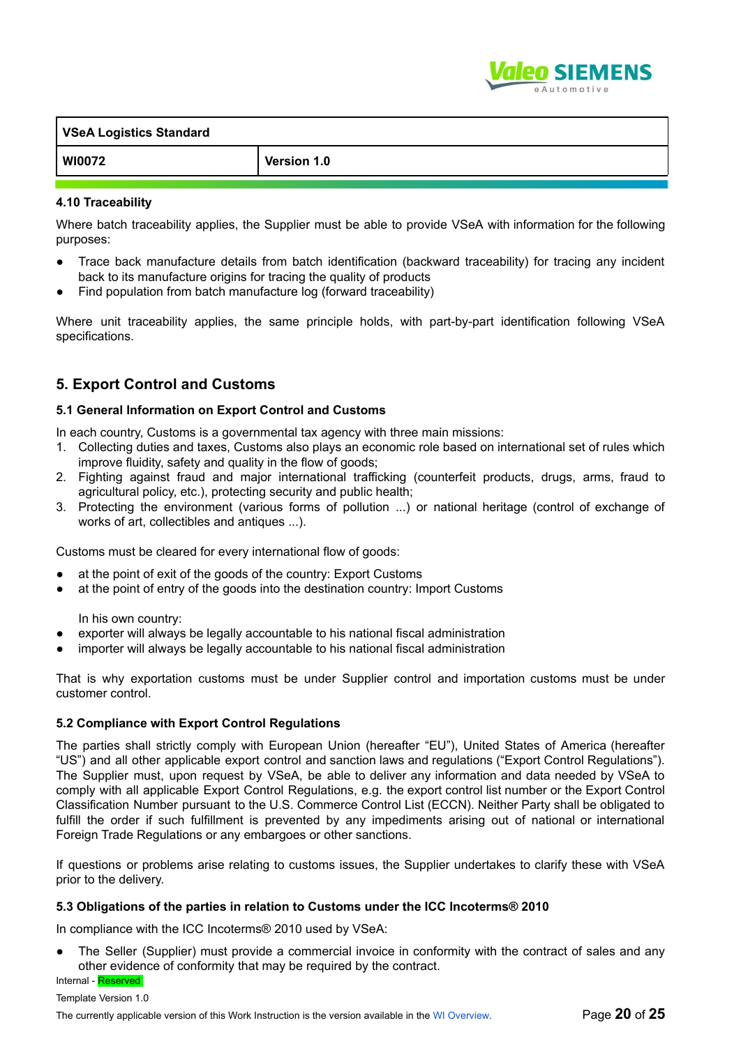

| VSeA Logistics Standard |             |  |
|-------------------------|-------------|--|
| WI0072                  | Version 1.0 |  |

#### **4.10 Traceability**

Where batch traceability applies, the Supplier must be able to provide VSeA with information for the following purposes:

- Trace back manufacture details from batch identification (backward traceability) for tracing any incident back to its manufacture origins for tracing the quality of products
- Find population from batch manufacture log (forward traceability)

Where unit traceability applies, the same principle holds, with part-by-part identification following VSeA specifications.

# **5. Export Control and Customs**

#### **5.1 General Information on Export Control and Customs**

In each country, Customs is a governmental tax agency with three main missions:

- 1. Collecting duties and taxes, Customs also plays an economic role based on international set of rules which improve fluidity, safety and quality in the flow of goods;
- 2. Fighting against fraud and major international trafficking (counterfeit products, drugs, arms, fraud to agricultural policy, etc.), protecting security and public health;
- 3. Protecting the environment (various forms of pollution ...) or national heritage (control of exchange of works of art, collectibles and antiques ...).

Customs must be cleared for every international flow of goods:

- at the point of exit of the goods of the country: Export Customs
- at the point of entry of the goods into the destination country: Import Customs

In his own country:

- exporter will always be legally accountable to his national fiscal administration
- importer will always be legally accountable to his national fiscal administration

That is why exportation customs must be under Supplier control and importation customs must be under customer control.

#### **5.2 Compliance with Export Control Regulations**

The parties shall strictly comply with European Union (hereafter "EU"), United States of America (hereafter "US") and all other applicable export control and sanction laws and regulations ("Export Control Regulations"). The Supplier must, upon request by VSeA, be able to deliver any information and data needed by VSeA to comply with all applicable Export Control Regulations, e.g. the export control list number or the Export Control Classification Number pursuant to the U.S. Commerce Control List (ECCN). Neither Party shall be obligated to fulfill the order if such fulfillment is prevented by any impediments arising out of national or international Foreign Trade Regulations or any embargoes or other sanctions.

If questions or problems arise relating to customs issues, the Supplier undertakes to clarify these with VSeA prior to the delivery.

#### **5.3 Obligations of the parties in relation to Customs under the ICC Incoterms® 2010**

In compliance with the ICC Incoterms® 2010 used by VSeA:

The Seller (Supplier) must provide a commercial invoice in conformity with the contract of sales and any other evidence of conformity that may be required by the contract.

# Internal - Reserved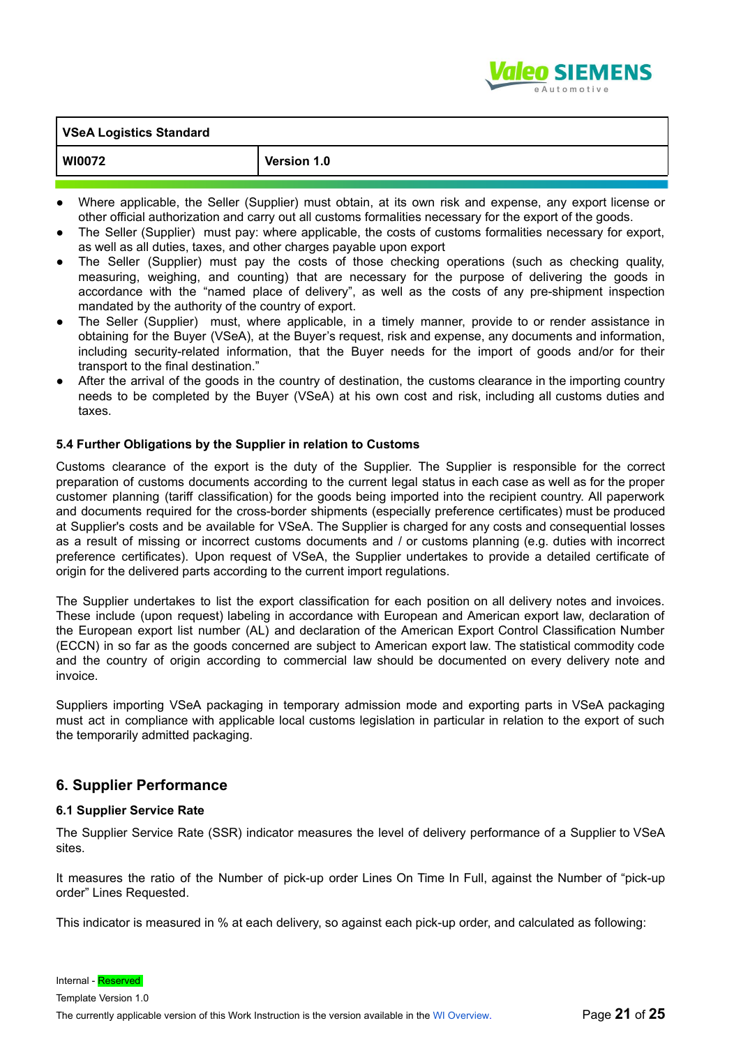

| WI007 |  |
|-------|--|

**Version 1.0** 

- Where applicable, the Seller (Supplier) must obtain, at its own risk and expense, any export license or other official authorization and carry out all customs formalities necessary for the export of the goods.
- The Seller (Supplier) must pay: where applicable, the costs of customs formalities necessary for export, as well as all duties, taxes, and other charges payable upon export
- The Seller (Supplier) must pay the costs of those checking operations (such as checking quality, measuring, weighing, and counting) that are necessary for the purpose of delivering the goods in accordance with the "named place of delivery", as well as the costs of any pre-shipment inspection mandated by the authority of the country of export.
- The Seller (Supplier) must, where applicable, in a timely manner, provide to or render assistance in obtaining for the Buyer (VSeA), at the Buyer's request, risk and expense, any documents and information, including security-related information, that the Buyer needs for the import of goods and/or for their transport to the final destination."
- After the arrival of the goods in the country of destination, the customs clearance in the importing country needs to be completed by the Buyer (VSeA) at his own cost and risk, including all customs duties and taxes.

#### **5.4 Further Obligations by the Supplier in relation to Customs**

Customs clearance of the export is the duty of the Supplier. The Supplier is responsible for the correct preparation of customs documents according to the current legal status in each case as well as for the proper customer planning (tariff classification) for the goods being imported into the recipient country. All paperwork and documents required for the cross-border shipments (especially preference certificates) must be produced at Supplier's costs and be available for VSeA. The Supplier is charged for any costs and consequential losses as a result of missing or incorrect customs documents and / or customs planning (e.g. duties with incorrect preference certificates). Upon request of VSeA, the Supplier undertakes to provide a detailed certificate of origin for the delivered parts according to the current import regulations.

The Supplier undertakes to list the export classification for each position on all delivery notes and invoices. These include (upon request) labeling in accordance with European and American export law, declaration of the European export list number (AL) and declaration of the American Export Control Classification Number (ECCN) in so far as the goods concerned are subject to American export law. The statistical commodity code and the country of origin according to commercial law should be documented on every delivery note and invoice.

Suppliers importing VSeA packaging in temporary admission mode and exporting parts in VSeA packaging must act in compliance with applicable local customs legislation in particular in relation to the export of such the temporarily admitted packaging.

#### **6. Supplier Performance**

#### **6.1 Supplier Service Rate**

The Supplier Service Rate (SSR) indicator measures the level of delivery performance of a Supplier to VSeA sites.

It measures the ratio of the Number of pick-up order Lines On Time In Full, against the Number of "pick-up order" Lines Requested.

This indicator is measured in % at each delivery, so against each pick-up order, and calculated as following:

Internal - Reserved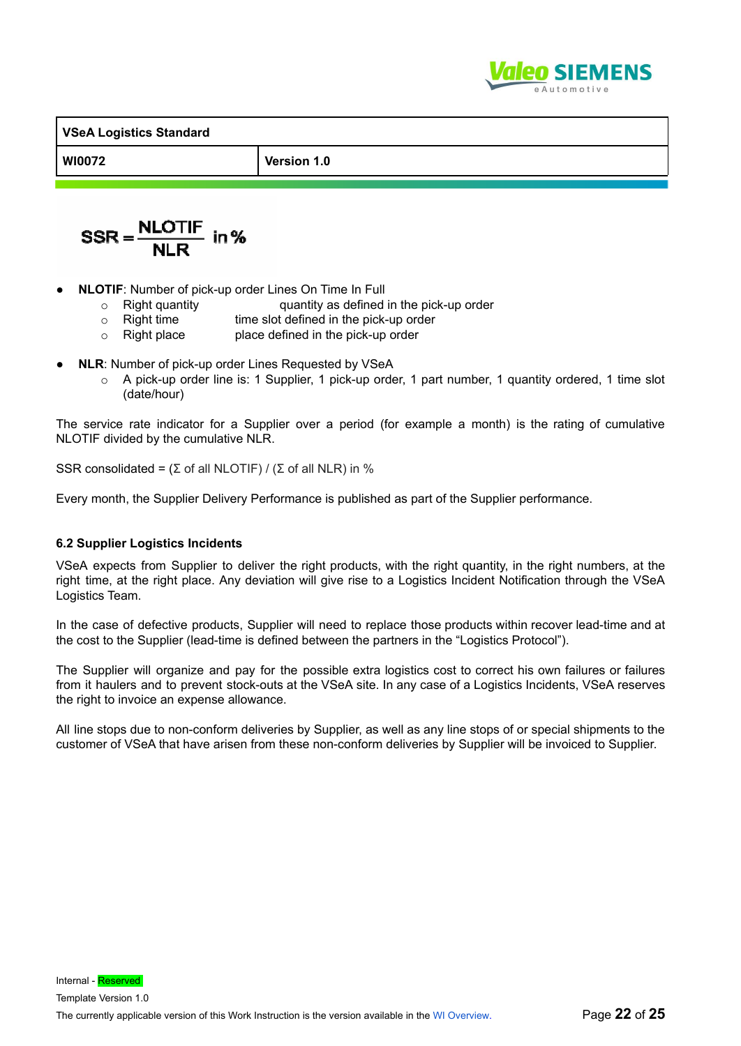

**WI0072 Version 1.0**

$$
SSR = \frac{NLOTIF}{NLR} \text{ in } \%
$$

- **NLOTIF:** Number of pick-up order Lines On Time In Full
	- $\circ$  Right quantity quantity quantity as defined in the pick-up order<br> $\circ$  Right time sine slot defined in the pick-up order
	- $\circ$  Right time time slot defined in the pick-up order<br> $\circ$  Right place place defined in the pick-up order
	- place defined in the pick-up order
- **NLR:** Number of pick-up order Lines Requested by VSeA
	- $\circ$  A pick-up order line is: 1 Supplier, 1 pick-up order, 1 part number, 1 quantity ordered, 1 time slot (date/hour)

The service rate indicator for a Supplier over a period (for example a month) is the rating of cumulative NLOTIF divided by the cumulative NLR.

SSR consolidated =  $(\Sigma$  of all NLOTIF) /  $(\Sigma$  of all NLR) in %

Every month, the Supplier Delivery Performance is published as part of the Supplier performance.

#### **6.2 Supplier Logistics Incidents**

VSeA expects from Supplier to deliver the right products, with the right quantity, in the right numbers, at the right time, at the right place. Any deviation will give rise to a Logistics Incident Notification through the VSeA Logistics Team.

In the case of defective products, Supplier will need to replace those products within recover lead-time and at the cost to the Supplier (lead-time is defined between the partners in the "Logistics Protocol").

The Supplier will organize and pay for the possible extra logistics cost to correct his own failures or failures from it haulers and to prevent stock-outs at the VSeA site. In any case of a Logistics Incidents, VSeA reserves the right to invoice an expense allowance.

All line stops due to non-conform deliveries by Supplier, as well as any line stops of or special shipments to the customer of VSeA that have arisen from these non-conform deliveries by Supplier will be invoiced to Supplier.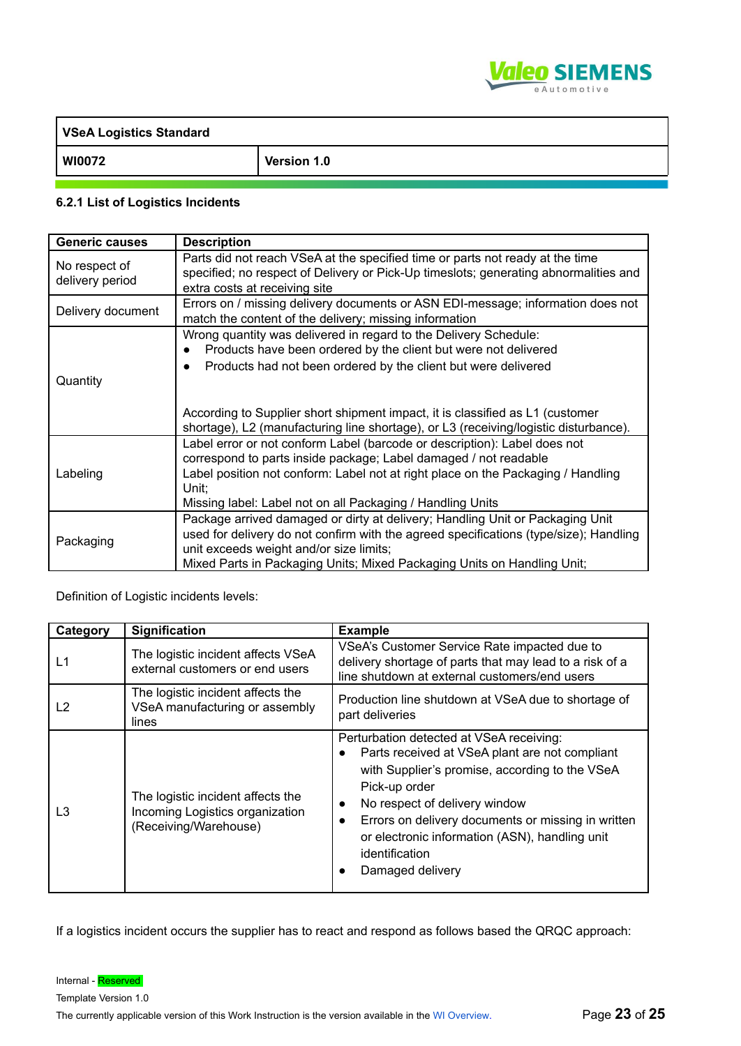

| VSeA Logistics Standard |             |  |
|-------------------------|-------------|--|
| WI0072                  | Version 1.0 |  |

## **6.2.1 List of Logistics Incidents**

| <b>Generic causes</b>            | <b>Description</b>                                                                                                                                                                                                                                                                                       |  |
|----------------------------------|----------------------------------------------------------------------------------------------------------------------------------------------------------------------------------------------------------------------------------------------------------------------------------------------------------|--|
| No respect of<br>delivery period | Parts did not reach VSeA at the specified time or parts not ready at the time<br>specified; no respect of Delivery or Pick-Up timeslots; generating abnormalities and<br>extra costs at receiving site                                                                                                   |  |
| Delivery document                | Errors on / missing delivery documents or ASN EDI-message; information does not<br>match the content of the delivery; missing information                                                                                                                                                                |  |
| Quantity                         | Wrong quantity was delivered in regard to the Delivery Schedule:<br>Products have been ordered by the client but were not delivered<br>Products had not been ordered by the client but were delivered<br>$\bullet$                                                                                       |  |
|                                  | According to Supplier short shipment impact, it is classified as L1 (customer<br>shortage), L2 (manufacturing line shortage), or L3 (receiving/logistic disturbance).                                                                                                                                    |  |
| Labeling                         | Label error or not conform Label (barcode or description): Label does not<br>correspond to parts inside package; Label damaged / not readable<br>Label position not conform: Label not at right place on the Packaging / Handling<br>Unit:<br>Missing label: Label not on all Packaging / Handling Units |  |
| Packaging                        | Package arrived damaged or dirty at delivery; Handling Unit or Packaging Unit<br>used for delivery do not confirm with the agreed specifications (type/size); Handling<br>unit exceeds weight and/or size limits;<br>Mixed Parts in Packaging Units; Mixed Packaging Units on Handling Unit;             |  |

Definition of Logistic incidents levels:

| Category       | <b>Signification</b>                                                                          | <b>Example</b>                                                                                                                                                                                                                                                                                                                                                                      |
|----------------|-----------------------------------------------------------------------------------------------|-------------------------------------------------------------------------------------------------------------------------------------------------------------------------------------------------------------------------------------------------------------------------------------------------------------------------------------------------------------------------------------|
| L1             | The logistic incident affects VSeA<br>external customers or end users                         | VSeA's Customer Service Rate impacted due to<br>delivery shortage of parts that may lead to a risk of a<br>line shutdown at external customers/end users                                                                                                                                                                                                                            |
| L <sub>2</sub> | The logistic incident affects the<br>VSeA manufacturing or assembly<br>lines                  | Production line shutdown at VSeA due to shortage of<br>part deliveries                                                                                                                                                                                                                                                                                                              |
| L <sub>3</sub> | The logistic incident affects the<br>Incoming Logistics organization<br>(Receiving/Warehouse) | Perturbation detected at VSeA receiving:<br>Parts received at VSeA plant are not compliant<br>$\bullet$<br>with Supplier's promise, according to the VSeA<br>Pick-up order<br>No respect of delivery window<br>$\bullet$<br>Errors on delivery documents or missing in written<br>$\bullet$<br>or electronic information (ASN), handling unit<br>identification<br>Damaged delivery |

If a logistics incident occurs the supplier has to react and respond as follows based the QRQC approach: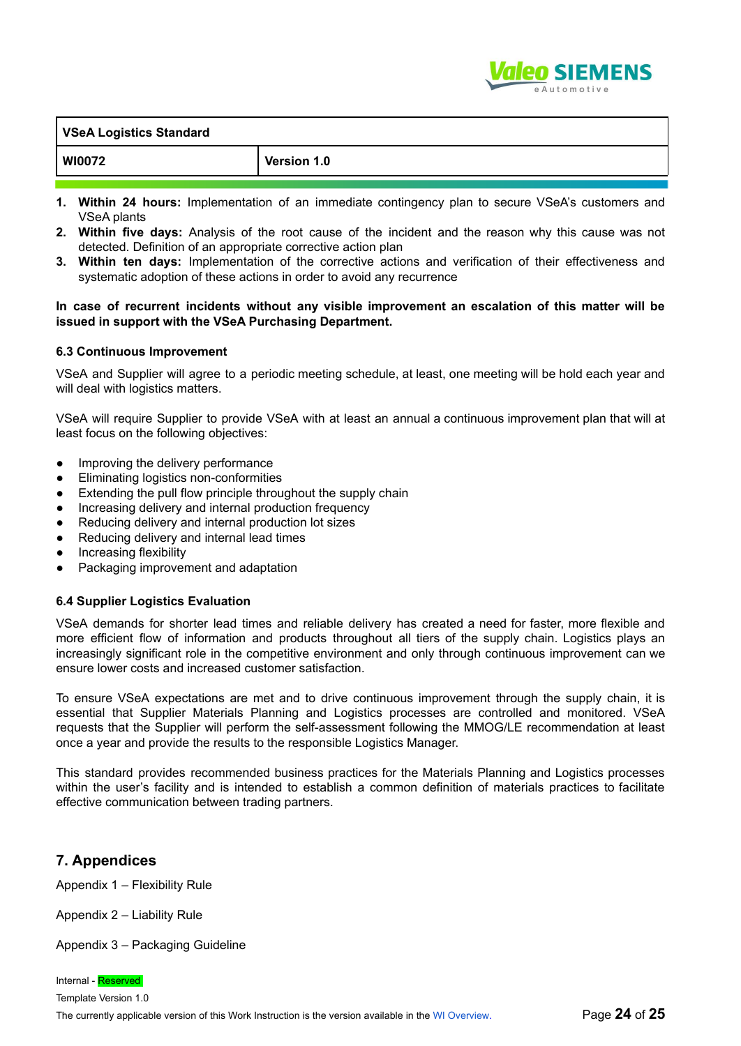

| <b>VSeA Logistics Standard</b> |             |  |
|--------------------------------|-------------|--|
| <b>WI0072</b>                  | Version 1.0 |  |
|                                |             |  |

- **1. Within 24 hours:** Implementation of an immediate contingency plan to secure VSeA's customers and VSeA plants
- **2. Within five days:** Analysis of the root cause of the incident and the reason why this cause was not detected. Definition of an appropriate corrective action plan
- **3. Within ten days:** Implementation of the corrective actions and verification of their effectiveness and systematic adoption of these actions in order to avoid any recurrence

#### **In case of recurrent incidents without any visible improvement an escalation of this matter will be issued in support with the VSeA Purchasing Department.**

#### **6.3 Continuous Improvement**

VSeA and Supplier will agree to a periodic meeting schedule, at least, one meeting will be hold each year and will deal with logistics matters.

VSeA will require Supplier to provide VSeA with at least an annual a continuous improvement plan that will at least focus on the following objectives:

- Improving the delivery performance
- **Eliminating logistics non-conformities**
- Extending the pull flow principle throughout the supply chain
- Increasing delivery and internal production frequency
- Reducing delivery and internal production lot sizes
- Reducing delivery and internal lead times
- **•** Increasing flexibility
- Packaging improvement and adaptation

#### **6.4 Supplier Logistics Evaluation**

VSeA demands for shorter lead times and reliable delivery has created a need for faster, more flexible and more efficient flow of information and products throughout all tiers of the supply chain. Logistics plays an increasingly significant role in the competitive environment and only through continuous improvement can we ensure lower costs and increased customer satisfaction.

To ensure VSeA expectations are met and to drive continuous improvement through the supply chain, it is essential that Supplier Materials Planning and Logistics processes are controlled and monitored. VSeA requests that the Supplier will perform the self-assessment following the MMOG/LE recommendation at least once a year and provide the results to the responsible Logistics Manager.

This standard provides recommended business practices for the Materials Planning and Logistics processes within the user's facility and is intended to establish a common definition of materials practices to facilitate effective communication between trading partners.

# **7. Appendices**

Appendix 1 – Flexibility Rule

Appendix 2 – Liability Rule

Appendix 3 – Packaging Guideline